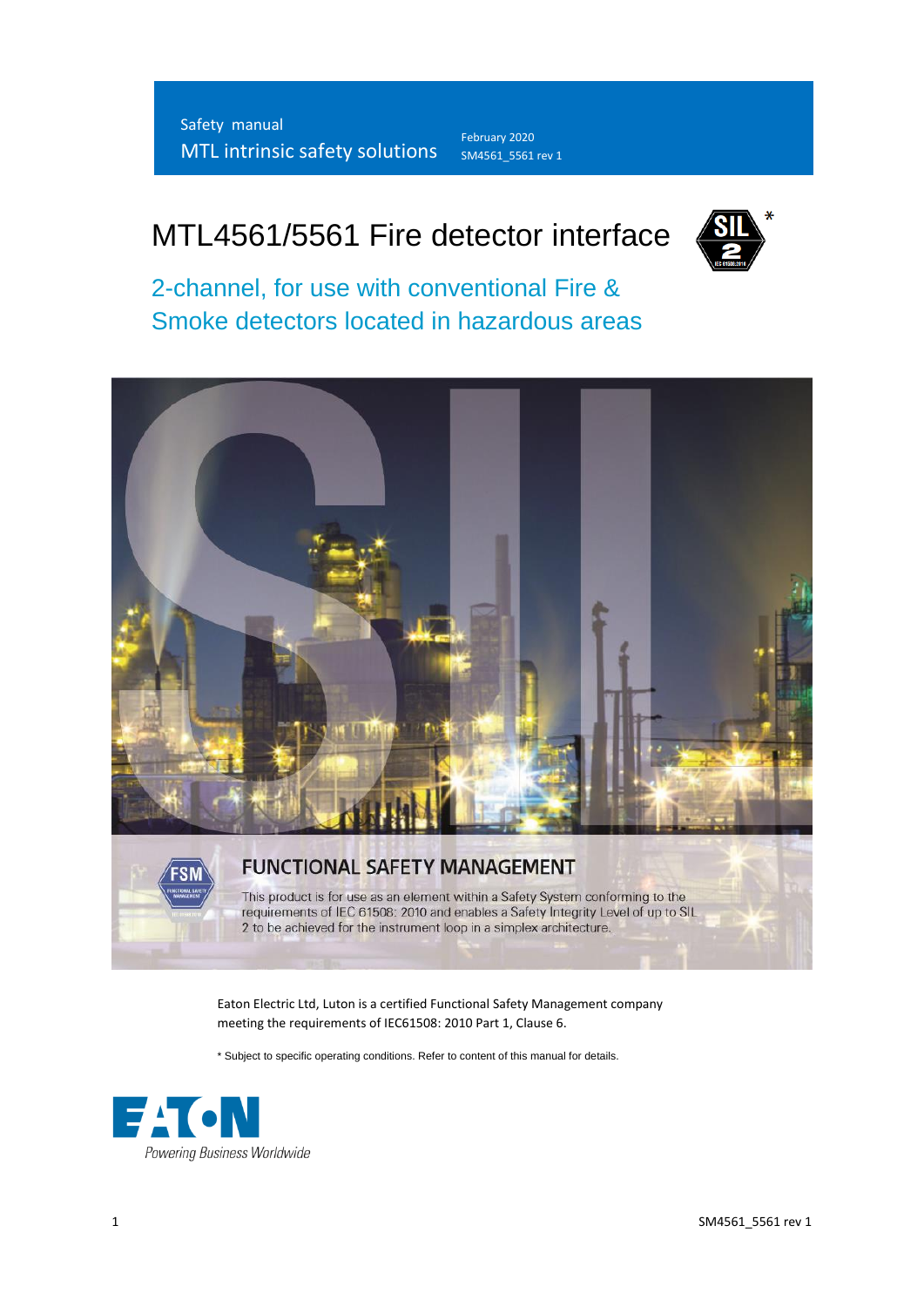February 2020 SM4561\_5561 rev 1

# MTL4561/5561 Fire detector interface



2-channel, for use with conventional Fire & Smoke detectors located in hazardous areas



This product is for use as an element within a Safety System conforming to the requirements of IEC 61508: 2010 and enables a Safety Integrity Level of up to SIL 2 to be achieved for the instrument loop in a simplex architecture.

Eaton Electric Ltd, Luton is a certified Functional Safety Management company meeting the requirements of IEC61508: 2010 Part 1, Clause 6.

\* Subject to specific operating conditions. Refer to content of this manual for details.

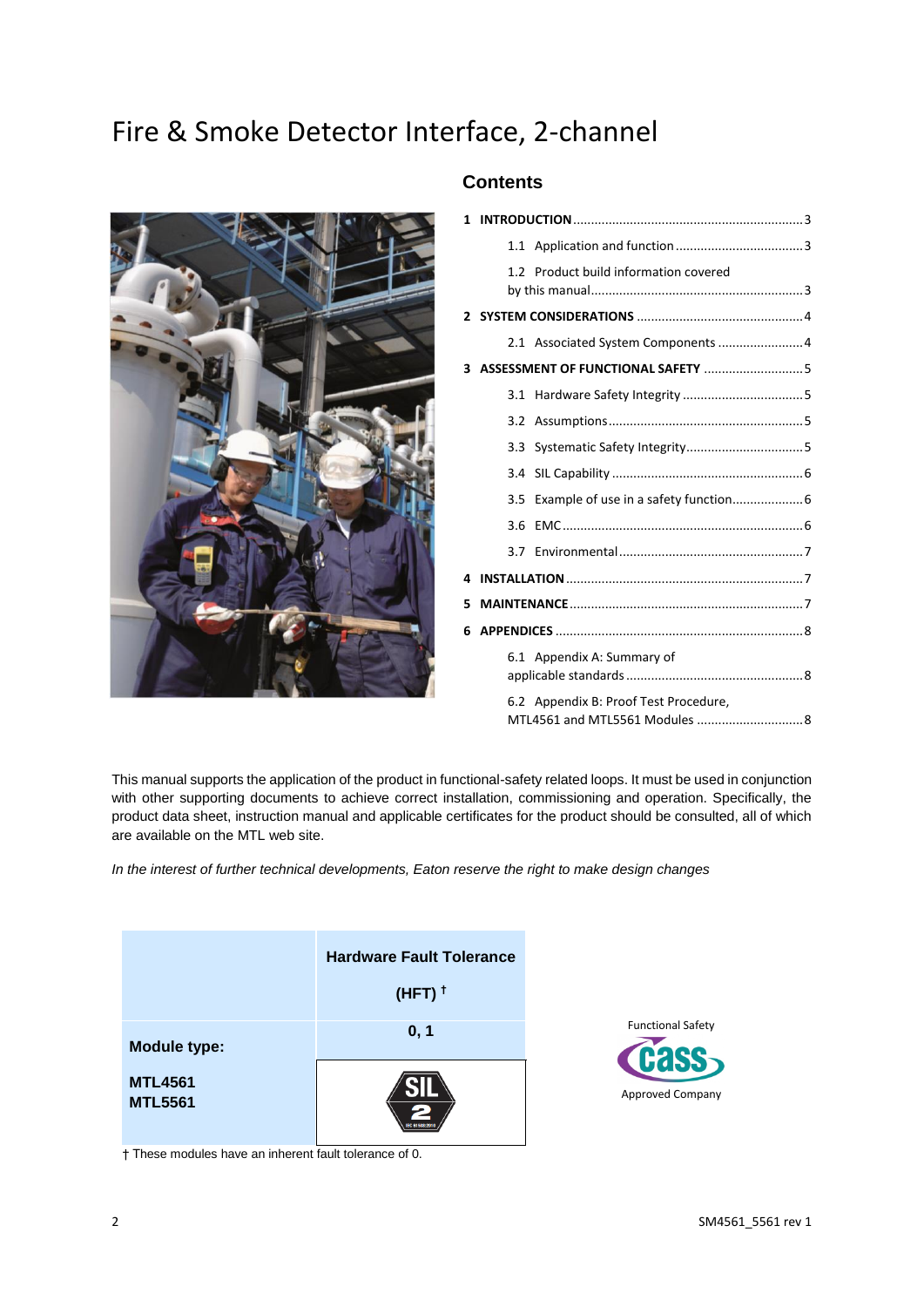## Fire & Smoke Detector Interface, 2-channel



### **Contents**

| 1 |     |                                       |  |
|---|-----|---------------------------------------|--|
|   | 1.1 |                                       |  |
|   | 12  | Product build information covered     |  |
| 2 |     |                                       |  |
|   |     |                                       |  |
| 3 |     |                                       |  |
|   | 3.1 |                                       |  |
|   | 3.2 |                                       |  |
|   | 3.3 |                                       |  |
|   | 3.4 |                                       |  |
|   | 3.5 | Example of use in a safety function 6 |  |
|   | 3.6 |                                       |  |
|   | 3.7 |                                       |  |
| 4 |     |                                       |  |
| 5 |     |                                       |  |
| 6 |     |                                       |  |
|   |     | 6.1 Appendix A: Summary of            |  |
|   |     | 6.2 Appendix B: Proof Test Procedure, |  |

This manual supports the application of the product in functional-safety related loops. It must be used in conjunction with other supporting documents to achieve correct installation, commissioning and operation. Specifically, the product data sheet, instruction manual and applicable certificates for the product should be consulted, all of which are available on the MTL web site.

*In the interest of further technical developments, Eaton reserve the right to make design changes*

|                                  | <b>Hardware Fault Tolerance</b><br>(HFT) $†$ |
|----------------------------------|----------------------------------------------|
| <b>Module type:</b>              | 0, 1                                         |
| <b>MTL4561</b><br><b>MTL5561</b> |                                              |



† These modules have an inherent fault tolerance of 0.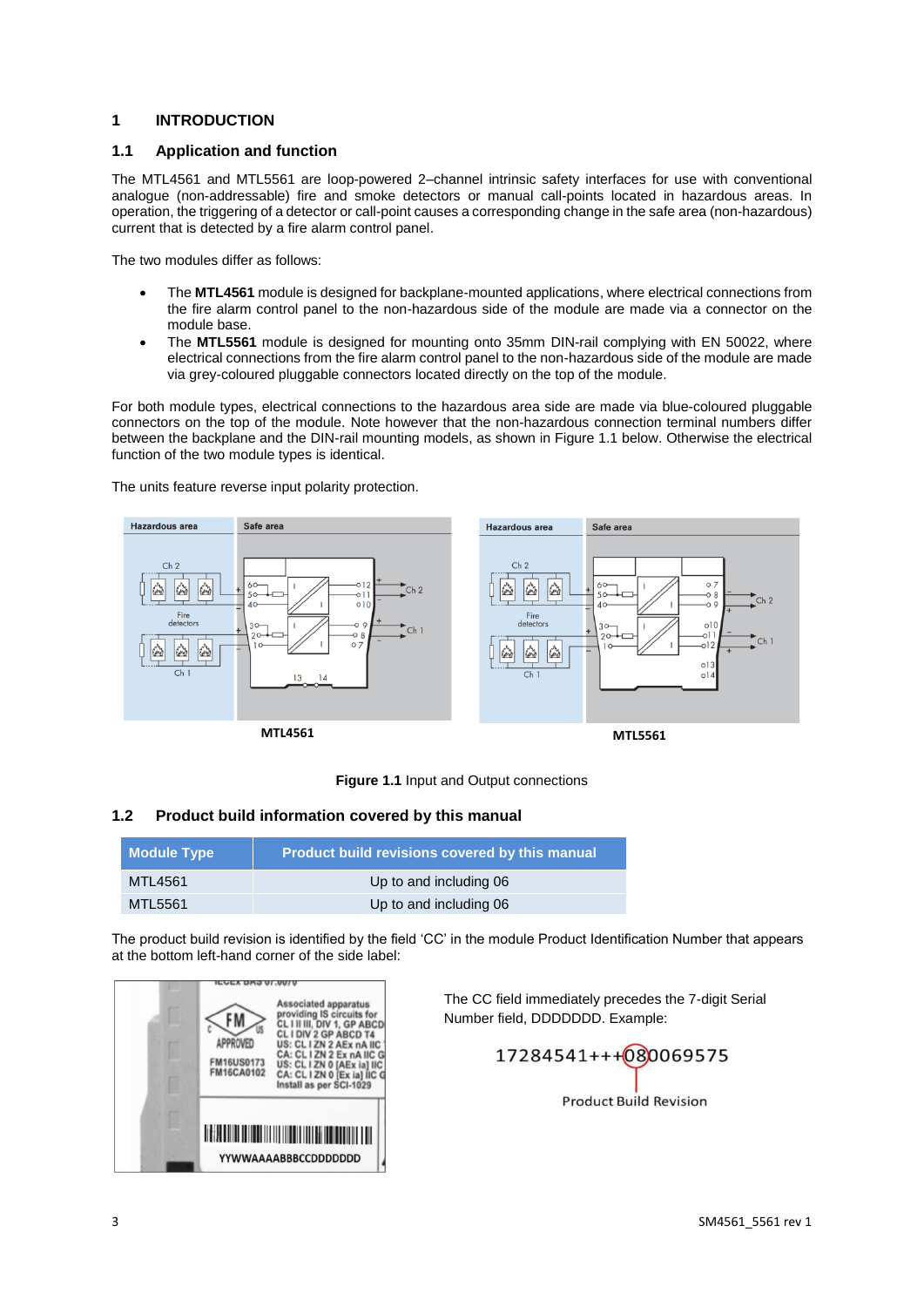#### <span id="page-2-0"></span>**1 INTRODUCTION**

#### <span id="page-2-1"></span>**1.1 Application and function**

The MTL4561 and MTL5561 are loop-powered 2–channel intrinsic safety interfaces for use with conventional analogue (non-addressable) fire and smoke detectors or manual call-points located in hazardous areas. In operation, the triggering of a detector or call-point causes a corresponding change in the safe area (non-hazardous) current that is detected by a fire alarm control panel.

The two modules differ as follows:

- The **MTL4561** module is designed for backplane-mounted applications, where electrical connections from the fire alarm control panel to the non-hazardous side of the module are made via a connector on the module base.
- The **MTL5561** module is designed for mounting onto 35mm DIN-rail complying with EN 50022, where electrical connections from the fire alarm control panel to the non-hazardous side of the module are made via grey-coloured pluggable connectors located directly on the top of the module.

For both module types, electrical connections to the hazardous area side are made via blue-coloured pluggable connectors on the top of the module. Note however that the non-hazardous connection terminal numbers differ between the backplane and the DIN-rail mounting models, as shown in Figure 1.1 below. Otherwise the electrical function of the two module types is identical.

The units feature reverse input polarity protection.



**Figure 1.1** Input and Output connections

#### <span id="page-2-2"></span>**1.2 Product build information covered by this manual**

| <b>Module Type</b> | <b>Product build revisions covered by this manual</b> |
|--------------------|-------------------------------------------------------|
| MTL4561            | Up to and including 06                                |
| MTL5561            | Up to and including 06                                |

The product build revision is identified by the field 'CC' in the module Product Identification Number that appears at the bottom left-hand corner of the side label:

| APPROVED<br><b>FM16US0173</b><br><b>FM16CA0102</b> | CL I II III, DIV 1, GP ABCD<br>CLIDIV 2 GP ABCD T4<br>US: CL I ZN 2 AEx nA IIC<br>CA: CL I ZN 2 Ex nA IIC G<br>US: CL I ZN 0 [AEx ia] IIC<br>CA: CL I ZN 0 [Ex ia] IIC<br>Install as per SCI-1029 |  |
|----------------------------------------------------|---------------------------------------------------------------------------------------------------------------------------------------------------------------------------------------------------|--|
| <b>IN AN INTENSION CONTRACTOR</b>                  | YYWWAAAABBBCCDDDDDDD                                                                                                                                                                              |  |

The CC field immediately precedes the 7-digit Serial Number field, DDDDDDD. Example:

17284541+++080069575

**Product Build Revision**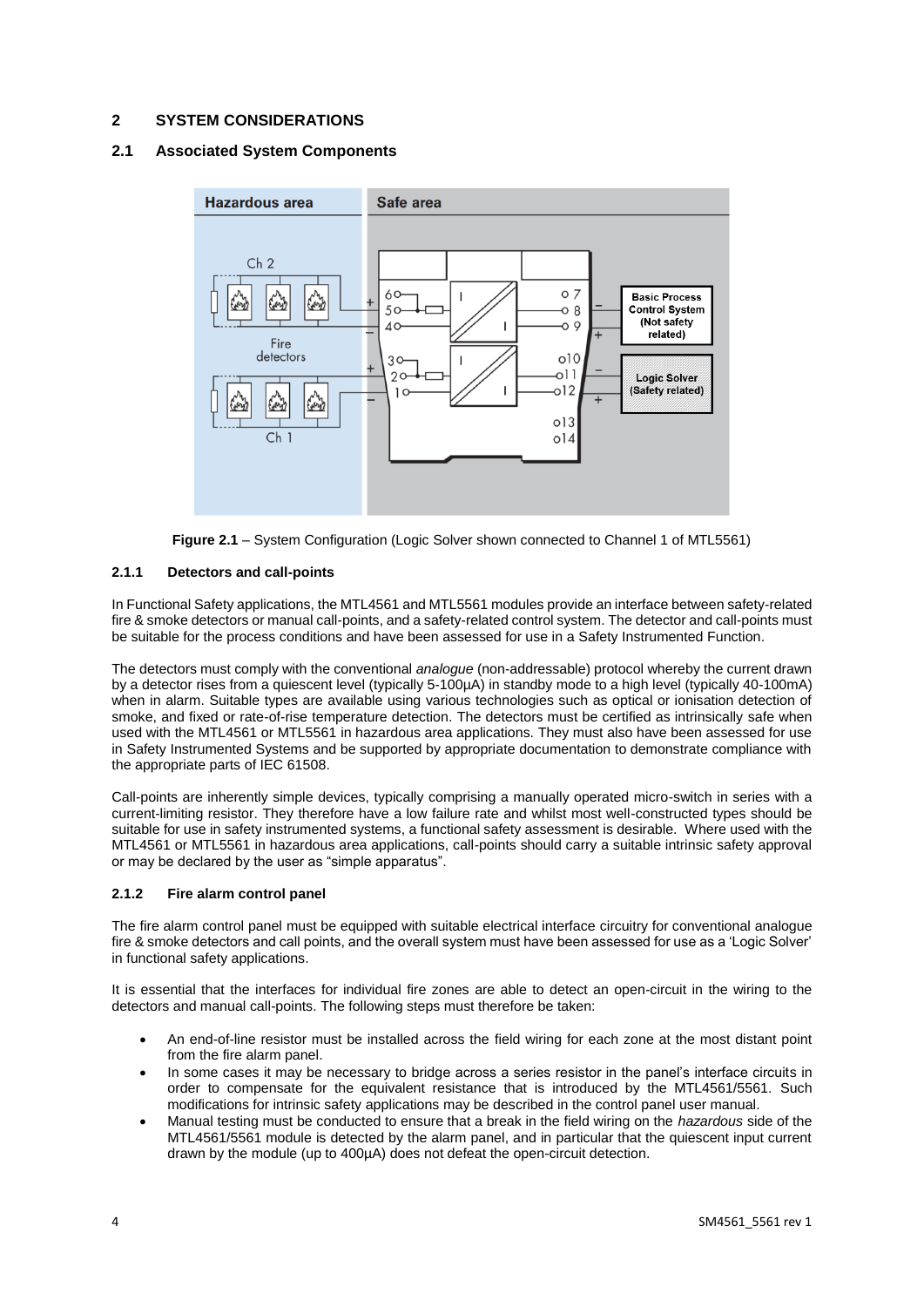#### <span id="page-3-0"></span>**2 SYSTEM CONSIDERATIONS**

#### <span id="page-3-1"></span>**2.1 Associated System Components**



**Figure 2.1** – System Configuration (Logic Solver shown connected to Channel 1 of MTL5561)

#### **2.1.1 Detectors and call-points**

In Functional Safety applications, the MTL4561 and MTL5561 modules provide an interface between safety-related fire & smoke detectors or manual call-points, and a safety-related control system. The detector and call-points must be suitable for the process conditions and have been assessed for use in a Safety Instrumented Function.

The detectors must comply with the conventional *analogue* (non-addressable) protocol whereby the current drawn by a detector rises from a quiescent level (typically 5-100µA) in standby mode to a high level (typically 40-100mA) when in alarm. Suitable types are available using various technologies such as optical or ionisation detection of smoke, and fixed or rate-of-rise temperature detection. The detectors must be certified as intrinsically safe when used with the MTL4561 or MTL5561 in hazardous area applications. They must also have been assessed for use in Safety Instrumented Systems and be supported by appropriate documentation to demonstrate compliance with the appropriate parts of IEC 61508.

Call-points are inherently simple devices, typically comprising a manually operated micro-switch in series with a current-limiting resistor. They therefore have a low failure rate and whilst most well-constructed types should be suitable for use in safety instrumented systems, a functional safety assessment is desirable. Where used with the MTL4561 or MTL5561 in hazardous area applications, call-points should carry a suitable intrinsic safety approval or may be declared by the user as "simple apparatus".

#### **2.1.2 Fire alarm control panel**

The fire alarm control panel must be equipped with suitable electrical interface circuitry for conventional analogue fire & smoke detectors and call points, and the overall system must have been assessed for use as a 'Logic Solver' in functional safety applications.

It is essential that the interfaces for individual fire zones are able to detect an open-circuit in the wiring to the detectors and manual call-points. The following steps must therefore be taken:

- An end-of-line resistor must be installed across the field wiring for each zone at the most distant point from the fire alarm panel.
- In some cases it may be necessary to bridge across a series resistor in the panel's interface circuits in order to compensate for the equivalent resistance that is introduced by the MTL4561/5561. Such modifications for intrinsic safety applications may be described in the control panel user manual.
- Manual testing must be conducted to ensure that a break in the field wiring on the *hazardous* side of the MTL4561/5561 module is detected by the alarm panel, and in particular that the quiescent input current drawn by the module (up to 400µA) does not defeat the open-circuit detection.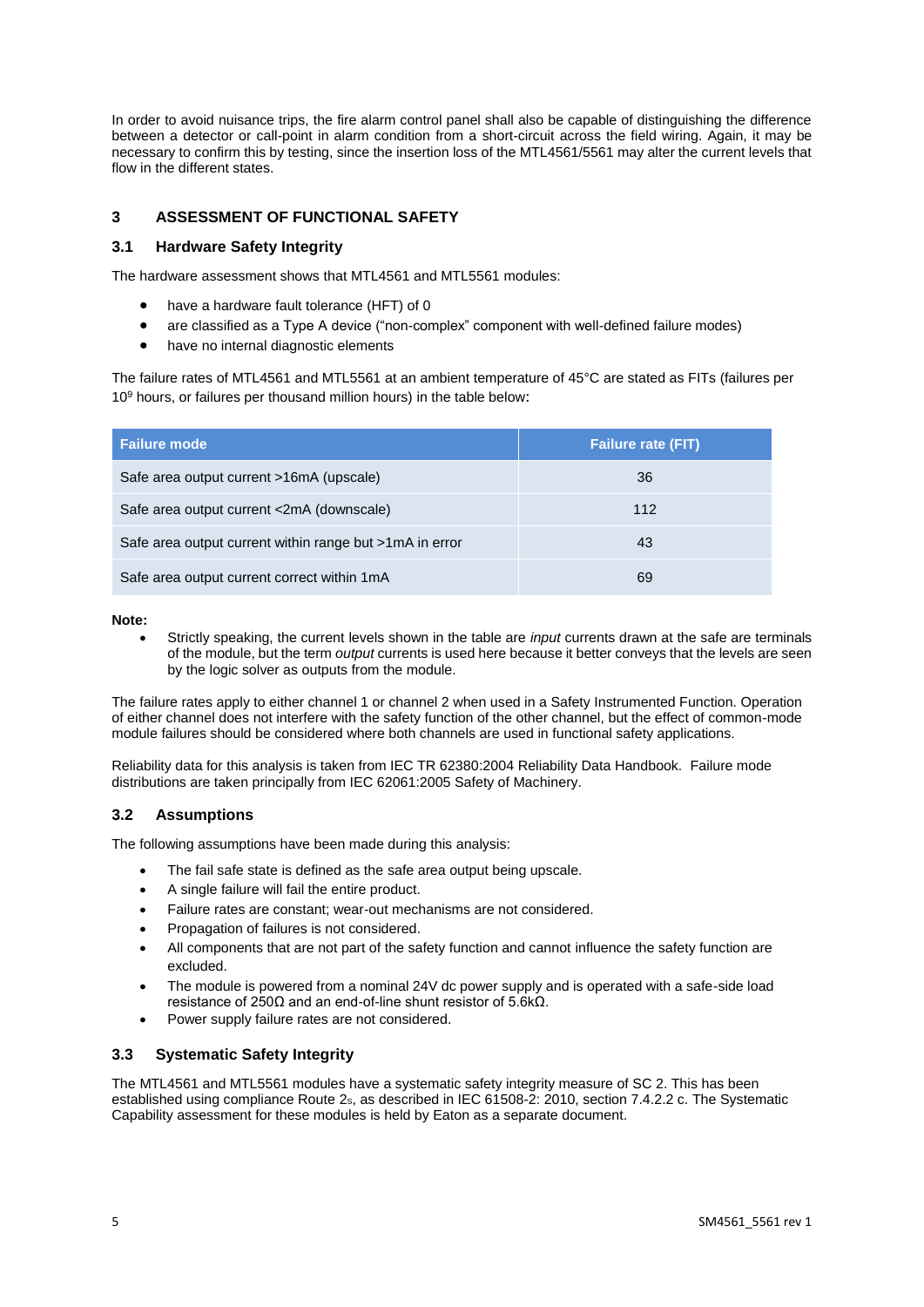In order to avoid nuisance trips, the fire alarm control panel shall also be capable of distinguishing the difference between a detector or call-point in alarm condition from a short-circuit across the field wiring. Again, it may be necessary to confirm this by testing, since the insertion loss of the MTL4561/5561 may alter the current levels that flow in the different states.

#### <span id="page-4-0"></span>**3 ASSESSMENT OF FUNCTIONAL SAFETY**

#### <span id="page-4-1"></span>**3.1 Hardware Safety Integrity**

The hardware assessment shows that MTL4561 and MTL5561 modules:

- have a hardware fault tolerance (HFT) of 0
- are classified as a Type A device ("non-complex" component with well-defined failure modes)
- have no internal diagnostic elements

The failure rates of MTL4561 and MTL5561 at an ambient temperature of 45°C are stated as FITs (failures per 10<sup>9</sup> hours, or failures per thousand million hours) in the table below:

| <b>Failure mode</b>                                     | <b>Failure rate (FIT)</b> |
|---------------------------------------------------------|---------------------------|
| Safe area output current >16mA (upscale)                | 36                        |
| Safe area output current <2mA (downscale)               | 112                       |
| Safe area output current within range but >1mA in error | 43                        |
| Safe area output current correct within 1mA             | 69                        |

#### **Note:**

• Strictly speaking, the current levels shown in the table are *input* currents drawn at the safe are terminals of the module, but the term *output* currents is used here because it better conveys that the levels are seen by the logic solver as outputs from the module.

The failure rates apply to either channel 1 or channel 2 when used in a Safety Instrumented Function. Operation of either channel does not interfere with the safety function of the other channel, but the effect of common-mode module failures should be considered where both channels are used in functional safety applications.

Reliability data for this analysis is taken from IEC TR 62380:2004 Reliability Data Handbook. Failure mode distributions are taken principally from IEC 62061:2005 Safety of Machinery.

#### <span id="page-4-2"></span>**3.2 Assumptions**

The following assumptions have been made during this analysis:

- The fail safe state is defined as the safe area output being upscale.
- A single failure will fail the entire product.
- Failure rates are constant; wear-out mechanisms are not considered.
- Propagation of failures is not considered.
- All components that are not part of the safety function and cannot influence the safety function are excluded.
- The module is powered from a nominal 24V dc power supply and is operated with a safe-side load resistance of 250Ω and an end-of-line shunt resistor of 5.6kΩ.
- Power supply failure rates are not considered.

#### <span id="page-4-3"></span>**3.3 Systematic Safety Integrity**

The MTL4561 and MTL5561 modules have a systematic safety integrity measure of SC 2. This has been established using compliance Route 2S, as described in IEC 61508-2: 2010, section 7.4.2.2 c. The Systematic Capability assessment for these modules is held by Eaton as a separate document.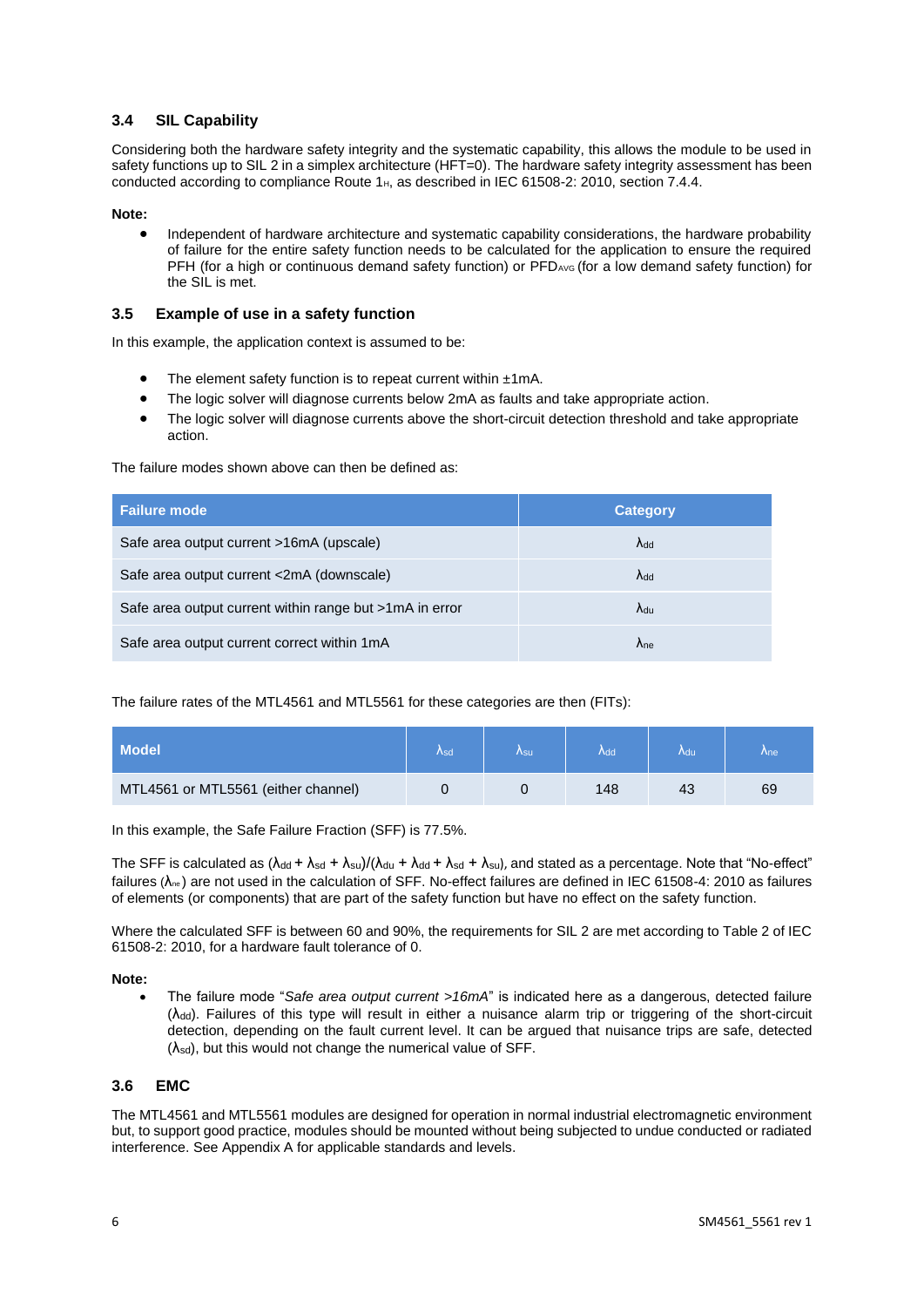#### <span id="page-5-0"></span>**3.4 SIL Capability**

Considering both the hardware safety integrity and the systematic capability, this allows the module to be used in safety functions up to SIL 2 in a simplex architecture (HFT=0). The hardware safety integrity assessment has been conducted according to compliance Route  $1_H$ , as described in IEC 61508-2: 2010, section 7.4.4.

#### **Note:**

• Independent of hardware architecture and systematic capability considerations, the hardware probability of failure for the entire safety function needs to be calculated for the application to ensure the required PFH (for a high or continuous demand safety function) or PFD<sub>AVG</sub> (for a low demand safety function) for the SIL is met.

#### <span id="page-5-1"></span>**3.5 Example of use in a safety function**

In this example, the application context is assumed to be:

- The element safety function is to repeat current within  $±1mA$ .
- The logic solver will diagnose currents below 2mA as faults and take appropriate action.
- The logic solver will diagnose currents above the short-circuit detection threshold and take appropriate action.

The failure modes shown above can then be defined as:

| <b>Failure mode</b>                                     | <b>Category</b> |
|---------------------------------------------------------|-----------------|
| Safe area output current >16mA (upscale)                | $\lambda$ dd    |
| Safe area output current <2mA (downscale)               | $\mathsf{Mod}$  |
| Safe area output current within range but >1mA in error | $\lambda$ du    |
| Safe area output current correct within 1mA             | Ane             |

The failure rates of the MTL4561 and MTL5561 for these categories are then (FITs):

| Model <sup>'</sup>                  | $\mathsf{\Lambda}$ sd | Λsu | $\Lambda$ dd | Λdu | <b>Ane</b> |
|-------------------------------------|-----------------------|-----|--------------|-----|------------|
| MTL4561 or MTL5561 (either channel) |                       |     | 148          |     | 69         |

In this example, the Safe Failure Fraction (SFF) is 77.5%.

The SFF is calculated as  $(\lambda_{dd} + \lambda_{sd} + \lambda_{sd})/(\lambda_{dd} + \lambda_{dd} + \lambda_{sd} + \lambda_{sd})$ , and stated as a percentage. Note that "No-effect" failures ( $\lambda_{ne}$ ) are not used in the calculation of SFF. No-effect failures are defined in IEC 61508-4: 2010 as failures of elements (or components) that are part of the safety function but have no effect on the safety function.

Where the calculated SFF is between 60 and 90%, the requirements for SIL 2 are met according to Table 2 of IEC 61508-2: 2010, for a hardware fault tolerance of 0.

#### **Note:**

• The failure mode "*Safe area output current >16mA*" is indicated here as a dangerous, detected failure (λ<sub>dd</sub>). Failures of this type will result in either a nuisance alarm trip or triggering of the short-circuit detection, depending on the fault current level. It can be argued that nuisance trips are safe, detected  $(\lambda_{sd})$ , but this would not change the numerical value of SFF.

#### <span id="page-5-2"></span>**3.6 EMC**

The MTL4561 and MTL5561 modules are designed for operation in normal industrial electromagnetic environment but, to support good practice, modules should be mounted without being subjected to undue conducted or radiated interference. See Appendix A for applicable standards and levels.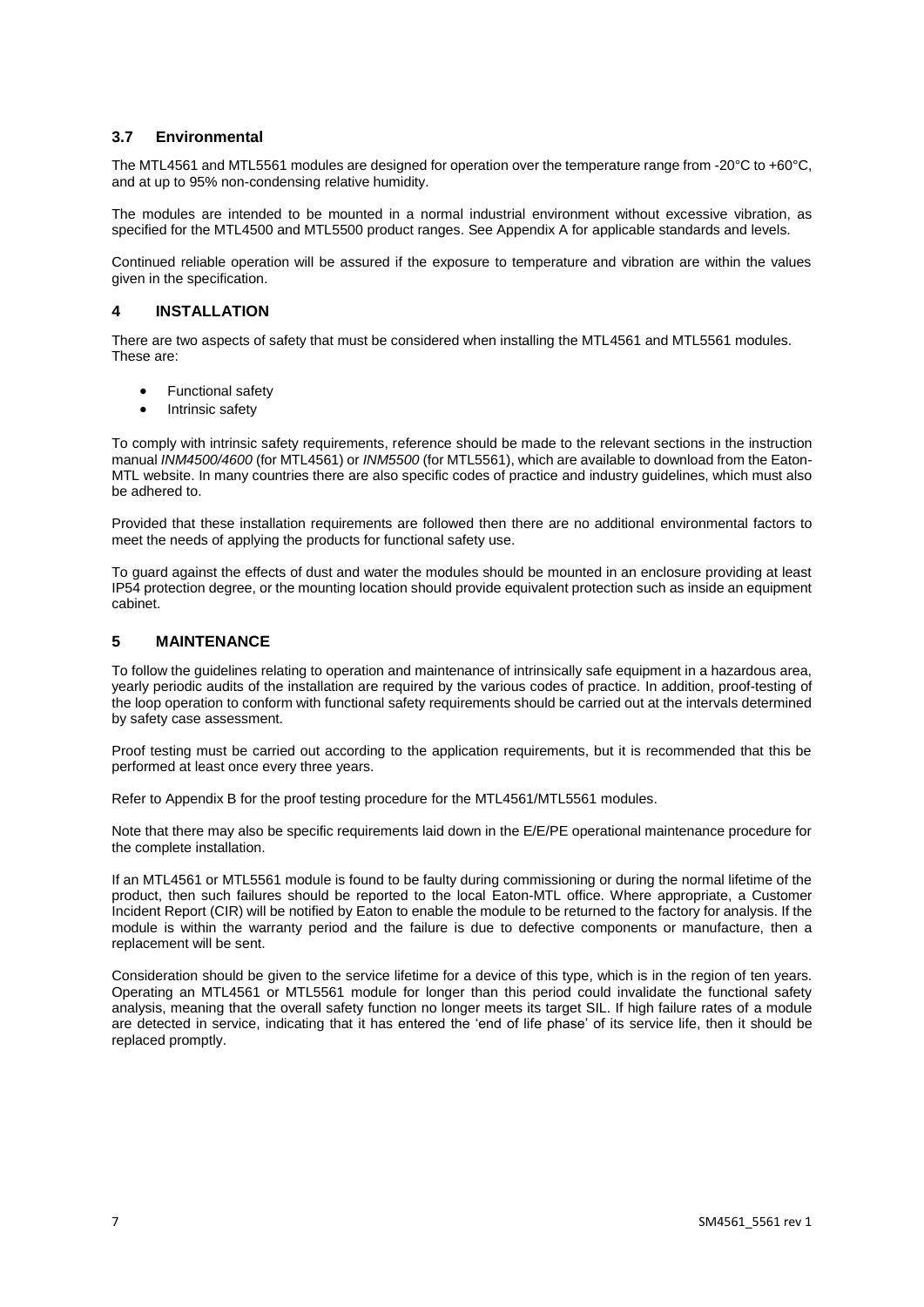#### <span id="page-6-0"></span>**3.7 Environmental**

The MTL4561 and MTL5561 modules are designed for operation over the temperature range from -20°C to +60°C. and at up to 95% non-condensing relative humidity.

The modules are intended to be mounted in a normal industrial environment without excessive vibration, as specified for the MTL4500 and MTL5500 product ranges. See Appendix A for applicable standards and levels.

Continued reliable operation will be assured if the exposure to temperature and vibration are within the values given in the specification.

#### <span id="page-6-1"></span>**4 INSTALLATION**

There are two aspects of safety that must be considered when installing the MTL4561 and MTL5561 modules. These are:

- Functional safety
- Intrinsic safety

To comply with intrinsic safety requirements, reference should be made to the relevant sections in the instruction manual *INM4500/4600* (for MTL4561) or *INM5500* (for MTL5561), which are available to download from the Eaton-MTL website. In many countries there are also specific codes of practice and industry guidelines, which must also be adhered to.

Provided that these installation requirements are followed then there are no additional environmental factors to meet the needs of applying the products for functional safety use.

To guard against the effects of dust and water the modules should be mounted in an enclosure providing at least IP54 protection degree, or the mounting location should provide equivalent protection such as inside an equipment cabinet.

#### <span id="page-6-2"></span>**5 MAINTENANCE**

To follow the guidelines relating to operation and maintenance of intrinsically safe equipment in a hazardous area, yearly periodic audits of the installation are required by the various codes of practice. In addition, proof-testing of the loop operation to conform with functional safety requirements should be carried out at the intervals determined by safety case assessment.

Proof testing must be carried out according to the application requirements, but it is recommended that this be performed at least once every three years.

Refer to Appendix B for the proof testing procedure for the MTL4561/MTL5561 modules.

Note that there may also be specific requirements laid down in the E/E/PE operational maintenance procedure for the complete installation.

If an MTL4561 or MTL5561 module is found to be faulty during commissioning or during the normal lifetime of the product, then such failures should be reported to the local Eaton-MTL office. Where appropriate, a Customer Incident Report (CIR) will be notified by Eaton to enable the module to be returned to the factory for analysis. If the module is within the warranty period and the failure is due to defective components or manufacture, then a replacement will be sent.

Consideration should be given to the service lifetime for a device of this type, which is in the region of ten years. Operating an MTL4561 or MTL5561 module for longer than this period could invalidate the functional safety analysis, meaning that the overall safety function no longer meets its target SIL. If high failure rates of a module are detected in service, indicating that it has entered the 'end of life phase' of its service life, then it should be replaced promptly.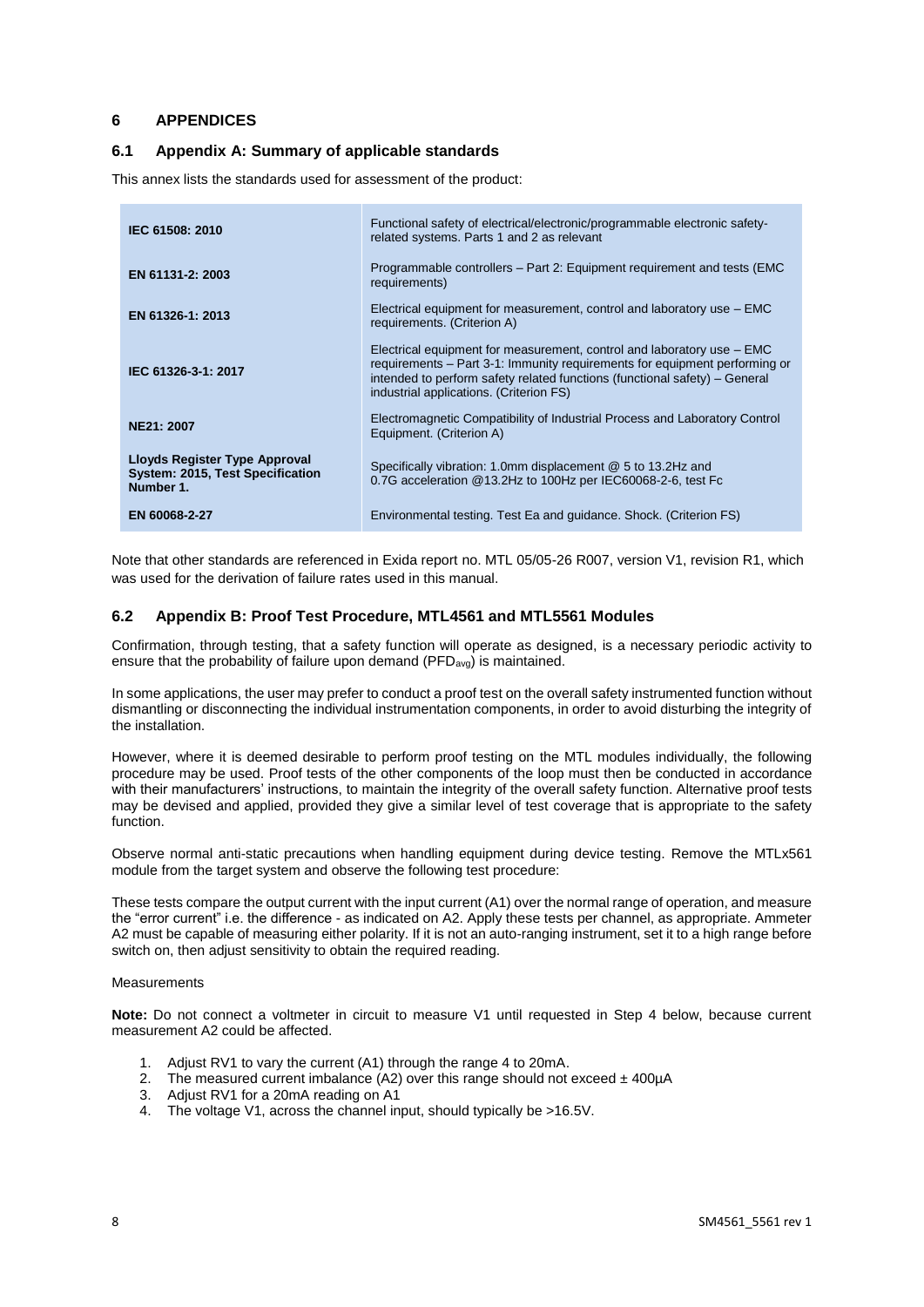#### <span id="page-7-0"></span>**6 APPENDICES**

#### <span id="page-7-1"></span>**6.1 Appendix A: Summary of applicable standards**

This annex lists the standards used for assessment of the product:

| IEC 61508: 2010                                                                              | Functional safety of electrical/electronic/programmable electronic safety-<br>related systems. Parts 1 and 2 as relevant                                                                                                                                                        |
|----------------------------------------------------------------------------------------------|---------------------------------------------------------------------------------------------------------------------------------------------------------------------------------------------------------------------------------------------------------------------------------|
| EN 61131-2: 2003                                                                             | Programmable controllers – Part 2: Equipment requirement and tests (EMC)<br>requirements)                                                                                                                                                                                       |
| EN 61326-1: 2013                                                                             | Electrical equipment for measurement, control and laboratory use - EMC<br>requirements. (Criterion A)                                                                                                                                                                           |
| IEC 61326-3-1: 2017                                                                          | Electrical equipment for measurement, control and laboratory use – EMC<br>requirements – Part 3-1: Immunity requirements for equipment performing or<br>intended to perform safety related functions (functional safety) $-$ General<br>industrial applications. (Criterion FS) |
| NE21: 2007                                                                                   | Electromagnetic Compatibility of Industrial Process and Laboratory Control<br>Equipment. (Criterion A)                                                                                                                                                                          |
| <b>Lloyds Register Type Approval</b><br><b>System: 2015, Test Specification</b><br>Number 1. | Specifically vibration: 1.0mm displacement @ 5 to 13.2Hz and<br>0.7G acceleration @13.2Hz to 100Hz per IEC60068-2-6, test Fc                                                                                                                                                    |
| EN 60068-2-27                                                                                | Environmental testing. Test Ea and guidance. Shock. (Criterion FS)                                                                                                                                                                                                              |

Note that other standards are referenced in Exida report no. MTL 05/05-26 R007, version V1, revision R1, which was used for the derivation of failure rates used in this manual.

#### <span id="page-7-2"></span>**6.2 Appendix B: Proof Test Procedure, MTL4561 and MTL5561 Modules**

Confirmation, through testing, that a safety function will operate as designed, is a necessary periodic activity to ensure that the probability of failure upon demand (PFD<sub>avg</sub>) is maintained.

In some applications, the user may prefer to conduct a proof test on the overall safety instrumented function without dismantling or disconnecting the individual instrumentation components, in order to avoid disturbing the integrity of the installation.

However, where it is deemed desirable to perform proof testing on the MTL modules individually, the following procedure may be used. Proof tests of the other components of the loop must then be conducted in accordance with their manufacturers' instructions, to maintain the integrity of the overall safety function. Alternative proof tests may be devised and applied, provided they give a similar level of test coverage that is appropriate to the safety function.

Observe normal anti-static precautions when handling equipment during device testing. Remove the MTLx561 module from the target system and observe the following test procedure:

These tests compare the output current with the input current (A1) over the normal range of operation, and measure the "error current" i.e. the difference - as indicated on A2. Apply these tests per channel, as appropriate. Ammeter A2 must be capable of measuring either polarity. If it is not an auto-ranging instrument, set it to a high range before switch on, then adjust sensitivity to obtain the required reading.

#### **Measurements**

**Note:** Do not connect a voltmeter in circuit to measure V1 until requested in Step 4 below, because current measurement A2 could be affected.

- 1. Adjust RV1 to vary the current (A1) through the range 4 to 20mA.
- 2. The measured current imbalance (A2) over this range should not exceed ± 400µA
- 3. Adjust RV1 for a 20mA reading on A1
- 4. The voltage V1, across the channel input, should typically be >16.5V.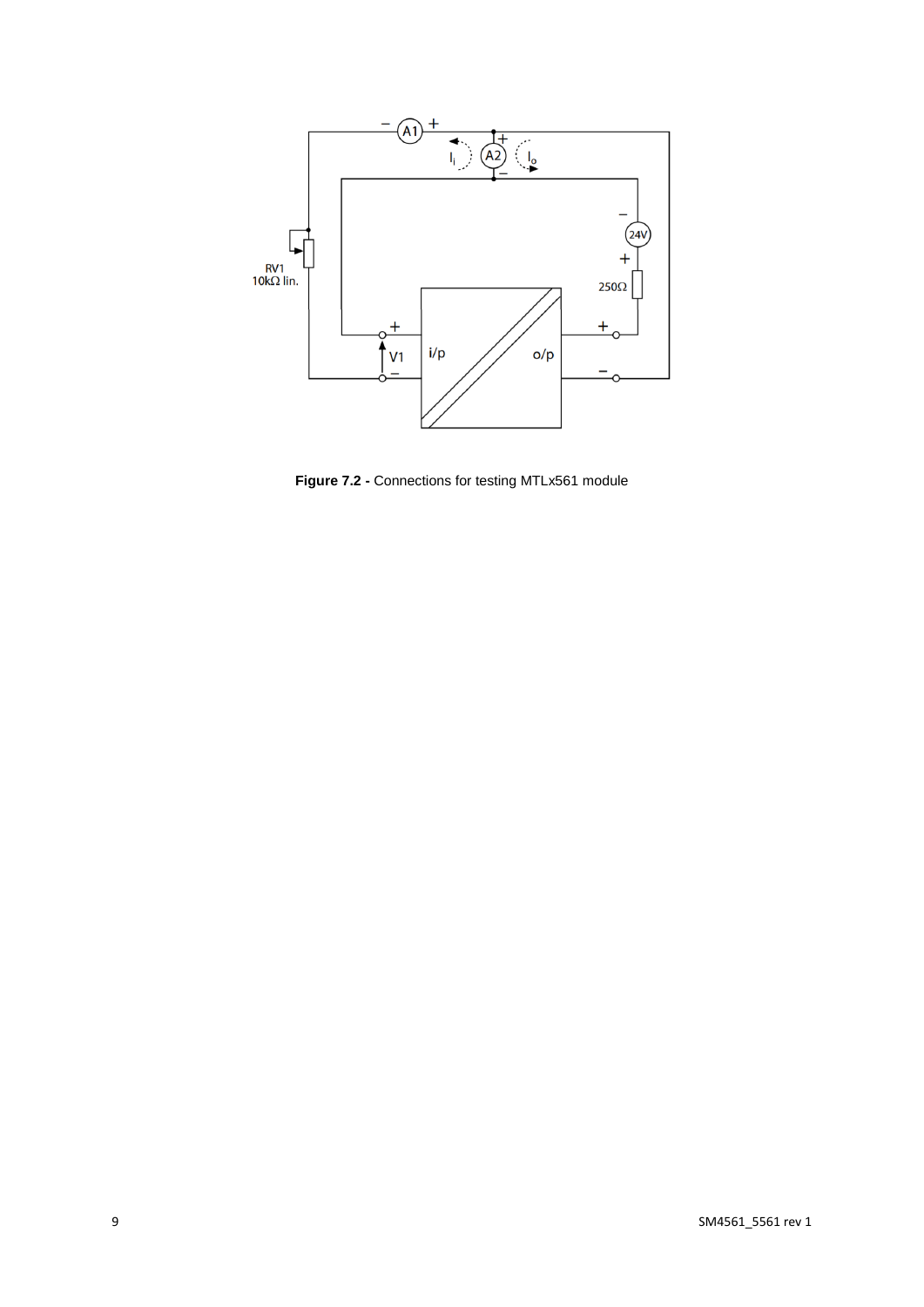

**Figure 7.2 -** Connections for testing MTLx561 module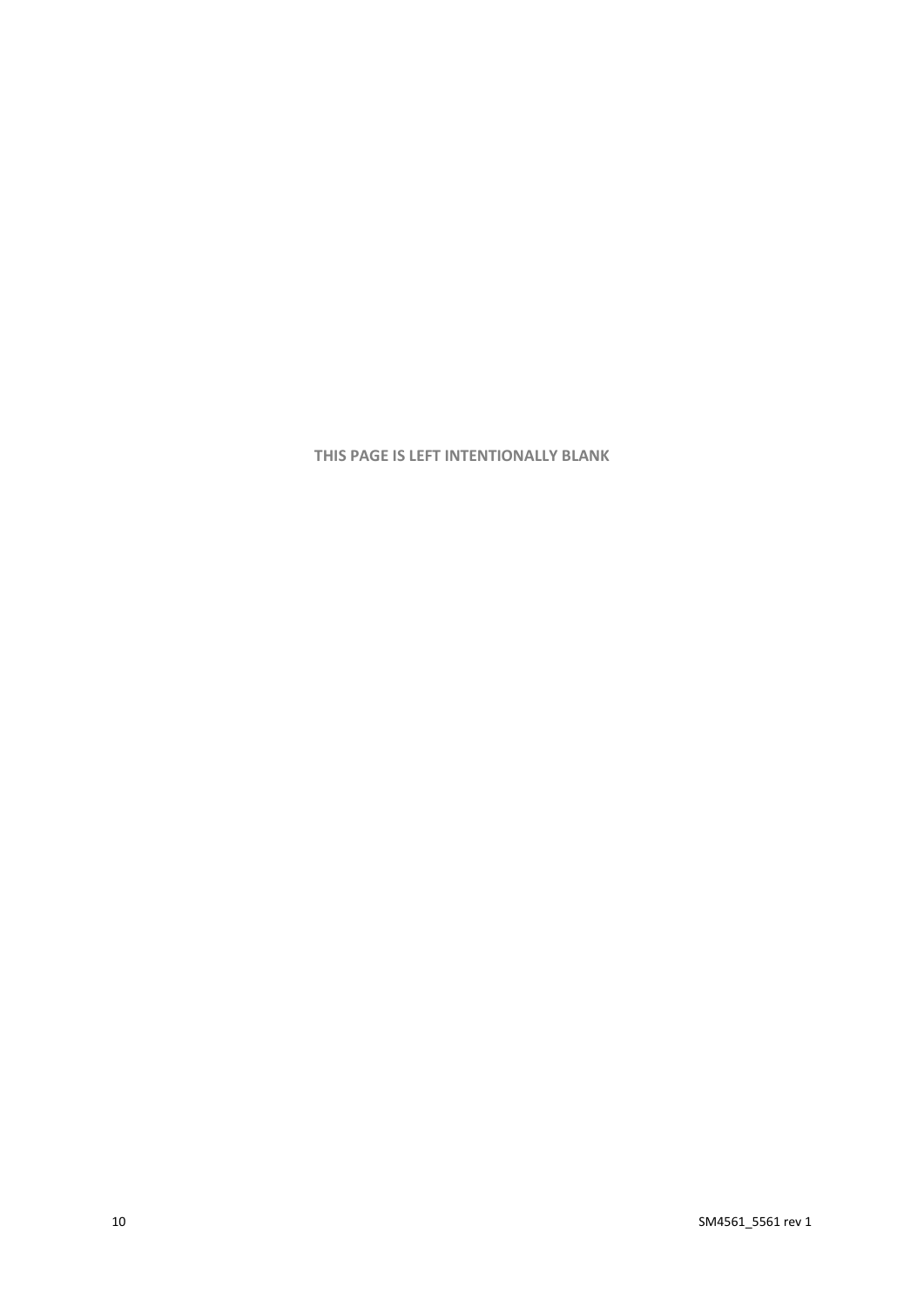THIS PAGE IS LEFT INTENTIONALLY BLANK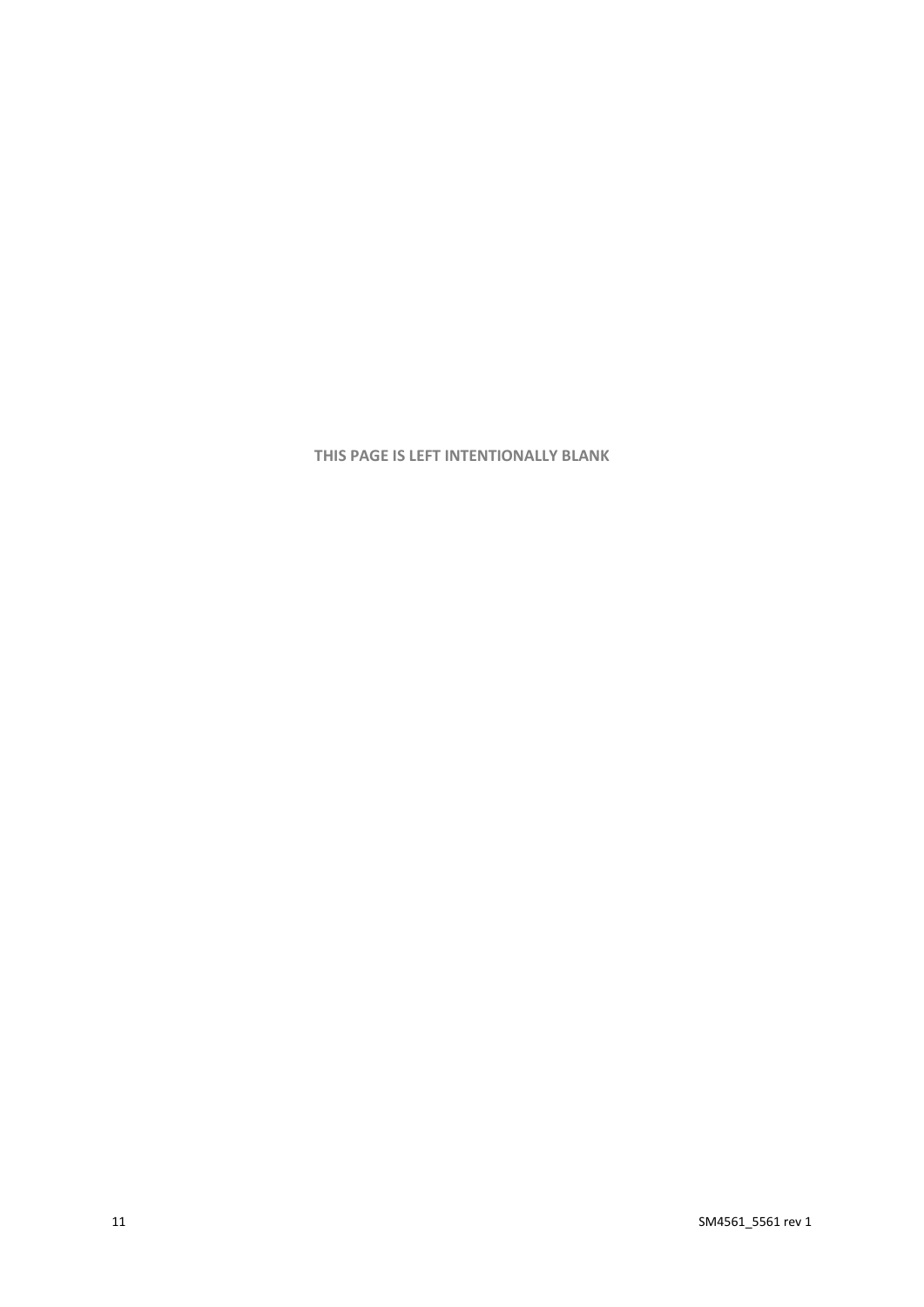THIS PAGE IS LEFT INTENTIONALLY BLANK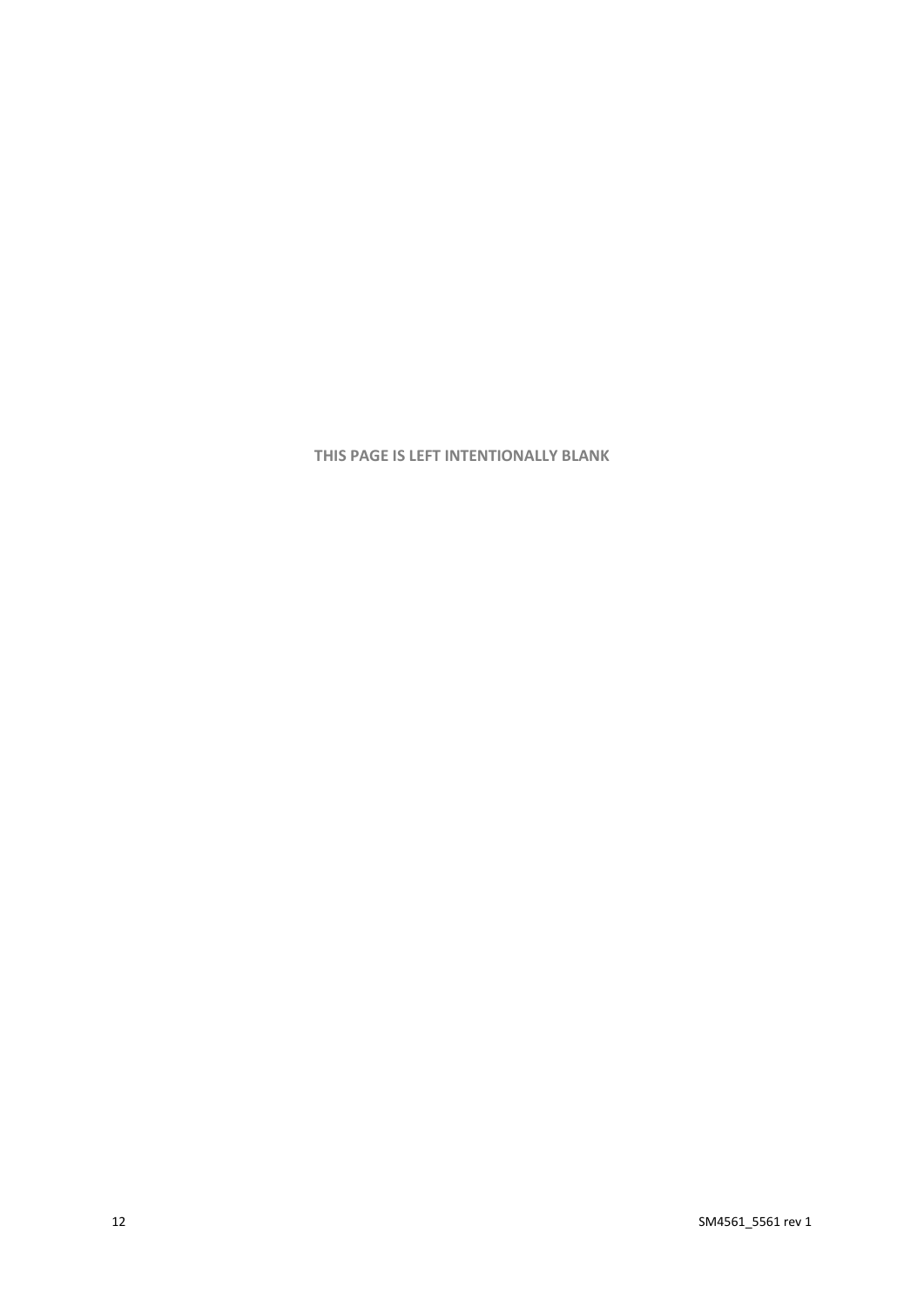THIS PAGE IS LEFT INTENTIONALLY BLANK